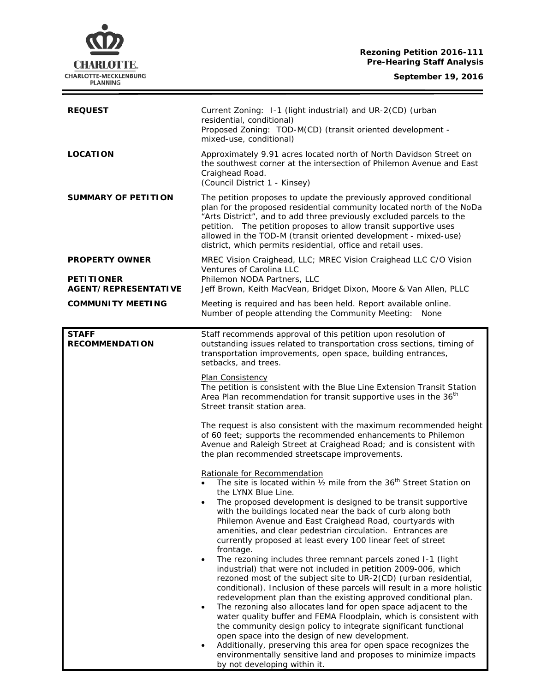**Rezoning Petition 2016-111 Pre-Hearing Staff Analysis**



 $\equiv$ 

| <b>REQUEST</b>                                                            | Current Zoning: 1-1 (light industrial) and UR-2(CD) (urban<br>residential, conditional)<br>Proposed Zoning: TOD-M(CD) (transit oriented development -<br>mixed-use, conditional)                                                                                                                                                                                                                                                                                                                                                                                                                                                                                                                                                                                                                                                                                                                                                                                                                                                                                                                                                                                                                                                                                                                |
|---------------------------------------------------------------------------|-------------------------------------------------------------------------------------------------------------------------------------------------------------------------------------------------------------------------------------------------------------------------------------------------------------------------------------------------------------------------------------------------------------------------------------------------------------------------------------------------------------------------------------------------------------------------------------------------------------------------------------------------------------------------------------------------------------------------------------------------------------------------------------------------------------------------------------------------------------------------------------------------------------------------------------------------------------------------------------------------------------------------------------------------------------------------------------------------------------------------------------------------------------------------------------------------------------------------------------------------------------------------------------------------|
| <b>LOCATION</b>                                                           | Approximately 9.91 acres located north of North Davidson Street on<br>the southwest corner at the intersection of Philemon Avenue and East<br>Craighead Road.<br>(Council District 1 - Kinsey)                                                                                                                                                                                                                                                                                                                                                                                                                                                                                                                                                                                                                                                                                                                                                                                                                                                                                                                                                                                                                                                                                                  |
| <b>SUMMARY OF PETITION</b>                                                | The petition proposes to update the previously approved conditional<br>plan for the proposed residential community located north of the NoDa<br>"Arts District", and to add three previously excluded parcels to the<br>petition. The petition proposes to allow transit supportive uses<br>allowed in the TOD-M (transit oriented development - mixed-use)<br>district, which permits residential, office and retail uses.                                                                                                                                                                                                                                                                                                                                                                                                                                                                                                                                                                                                                                                                                                                                                                                                                                                                     |
| <b>PROPERTY OWNER</b><br><b>PETITIONER</b><br><b>AGENT/REPRESENTATIVE</b> | MREC Vision Craighead, LLC; MREC Vision Craighead LLC C/O Vision<br>Ventures of Carolina LLC<br>Philemon NODA Partners, LLC<br>Jeff Brown, Keith MacVean, Bridget Dixon, Moore & Van Allen, PLLC                                                                                                                                                                                                                                                                                                                                                                                                                                                                                                                                                                                                                                                                                                                                                                                                                                                                                                                                                                                                                                                                                                |
| <b>COMMUNITY MEETING</b>                                                  | Meeting is required and has been held. Report available online.<br>Number of people attending the Community Meeting:<br>None                                                                                                                                                                                                                                                                                                                                                                                                                                                                                                                                                                                                                                                                                                                                                                                                                                                                                                                                                                                                                                                                                                                                                                    |
|                                                                           |                                                                                                                                                                                                                                                                                                                                                                                                                                                                                                                                                                                                                                                                                                                                                                                                                                                                                                                                                                                                                                                                                                                                                                                                                                                                                                 |
| <b>STAFF</b><br><b>RECOMMENDATION</b>                                     | Staff recommends approval of this petition upon resolution of<br>outstanding issues related to transportation cross sections, timing of<br>transportation improvements, open space, building entrances,<br>setbacks, and trees.                                                                                                                                                                                                                                                                                                                                                                                                                                                                                                                                                                                                                                                                                                                                                                                                                                                                                                                                                                                                                                                                 |
|                                                                           | Plan Consistency<br>The petition is consistent with the Blue Line Extension Transit Station<br>Area Plan recommendation for transit supportive uses in the 36 <sup>th</sup><br>Street transit station area.                                                                                                                                                                                                                                                                                                                                                                                                                                                                                                                                                                                                                                                                                                                                                                                                                                                                                                                                                                                                                                                                                     |
|                                                                           | The request is also consistent with the maximum recommended height<br>of 60 feet; supports the recommended enhancements to Philemon<br>Avenue and Raleigh Street at Craighead Road; and is consistent with<br>the plan recommended streetscape improvements.                                                                                                                                                                                                                                                                                                                                                                                                                                                                                                                                                                                                                                                                                                                                                                                                                                                                                                                                                                                                                                    |
|                                                                           | Rationale for Recommendation<br>The site is located within 1/2 mile from the 36 <sup>th</sup> Street Station on<br>the LYNX Blue Line.<br>The proposed development is designed to be transit supportive<br>with the buildings located near the back of curb along both<br>Philemon Avenue and East Craighead Road, courtyards with<br>amenities, and clear pedestrian circulation. Entrances are<br>currently proposed at least every 100 linear feet of street<br>frontage.<br>The rezoning includes three remnant parcels zoned I-1 (light<br>$\bullet$<br>industrial) that were not included in petition 2009-006, which<br>rezoned most of the subject site to UR-2(CD) (urban residential,<br>conditional). Inclusion of these parcels will result in a more holistic<br>redevelopment plan than the existing approved conditional plan.<br>The rezoning also allocates land for open space adjacent to the<br>$\bullet$<br>water quality buffer and FEMA Floodplain, which is consistent with<br>the community design policy to integrate significant functional<br>open space into the design of new development.<br>Additionally, preserving this area for open space recognizes the<br>environmentally sensitive land and proposes to minimize impacts<br>by not developing within it. |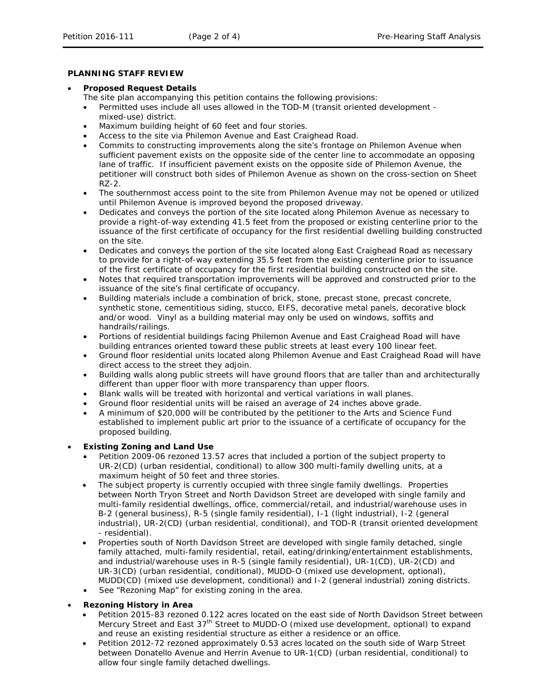### **PLANNING STAFF REVIEW**

### • **Proposed Request Details**

The site plan accompanying this petition contains the following provisions:

- Permitted uses include all uses allowed in the TOD-M (transit oriented development mixed-use) district.
- Maximum building height of 60 feet and four stories.
- Access to the site via Philemon Avenue and East Craighead Road.
- Commits to constructing improvements along the site's frontage on Philemon Avenue when sufficient pavement exists on the opposite side of the center line to accommodate an opposing lane of traffic. If insufficient pavement exists on the opposite side of Philemon Avenue, the petitioner will construct both sides of Philemon Avenue as shown on the cross-section on Sheet RZ-2.
- The southernmost access point to the site from Philemon Avenue may not be opened or utilized until Philemon Avenue is improved beyond the proposed driveway.
- Dedicates and conveys the portion of the site located along Philemon Avenue as necessary to provide a right-of-way extending 41.5 feet from the proposed or existing centerline prior to the issuance of the first certificate of occupancy for the first residential dwelling building constructed on the site.
- Dedicates and conveys the portion of the site located along East Craighead Road as necessary to provide for a right-of-way extending 35.5 feet from the existing centerline prior to issuance of the first certificate of occupancy for the first residential building constructed on the site.
- Notes that required transportation improvements will be approved and constructed prior to the issuance of the site's final certificate of occupancy.
- Building materials include a combination of brick, stone, precast stone, precast concrete, synthetic stone, cementitious siding, stucco, EIFS, decorative metal panels, decorative block and/or wood. Vinyl as a building material may only be used on windows, soffits and handrails/railings.
- Portions of residential buildings facing Philemon Avenue and East Craighead Road will have building entrances oriented toward these public streets at least every 100 linear feet.
- Ground floor residential units located along Philemon Avenue and East Craighead Road will have direct access to the street they adjoin.
- Building walls along public streets will have ground floors that are taller than and architecturally different than upper floor with more transparency than upper floors.
- Blank walls will be treated with horizontal and vertical variations in wall planes.
- Ground floor residential units will be raised an average of 24 inches above grade.
- A minimum of \$20,000 will be contributed by the petitioner to the Arts and Science Fund established to implement public art prior to the issuance of a certificate of occupancy for the proposed building.

## • **Existing Zoning and Land Use**

- Petition 2009-06 rezoned 13.57 acres that included a portion of the subject property to UR-2(CD) (urban residential, conditional) to allow 300 multi-family dwelling units, at a maximum height of 50 feet and three stories.
- The subject property is currently occupied with three single family dwellings. Properties between North Tryon Street and North Davidson Street are developed with single family and multi-family residential dwellings, office, commercial/retail, and industrial/warehouse uses in B-2 (general business), R-5 (single family residential), I-1 (light industrial), I-2 (general industrial), UR-2(CD) (urban residential, conditional), and TOD-R (transit oriented development - residential).
- Properties south of North Davidson Street are developed with single family detached, single family attached, multi-family residential, retail, eating/drinking/entertainment establishments, and industrial/warehouse uses in R-5 (single family residential), UR-1(CD), UR-2(CD) and UR-3(CD) (urban residential, conditional), MUDD-O (mixed use development, optional), MUDD(CD) (mixed use development, conditional) and I-2 (general industrial) zoning districts.
- See "Rezoning Map" for existing zoning in the area.

## • **Rezoning History in Area**

- Petition 2015-83 rezoned 0.122 acres located on the east side of North Davidson Street between Mercury Street and East 37<sup>th</sup> Street to MUDD-O (mixed use development, optional) to expand and reuse an existing residential structure as either a residence or an office.
- Petition 2012-72 rezoned approximately 0.53 acres located on the south side of Warp Street between Donatello Avenue and Herrin Avenue to UR-1(CD) (urban residential, conditional) to allow four single family detached dwellings.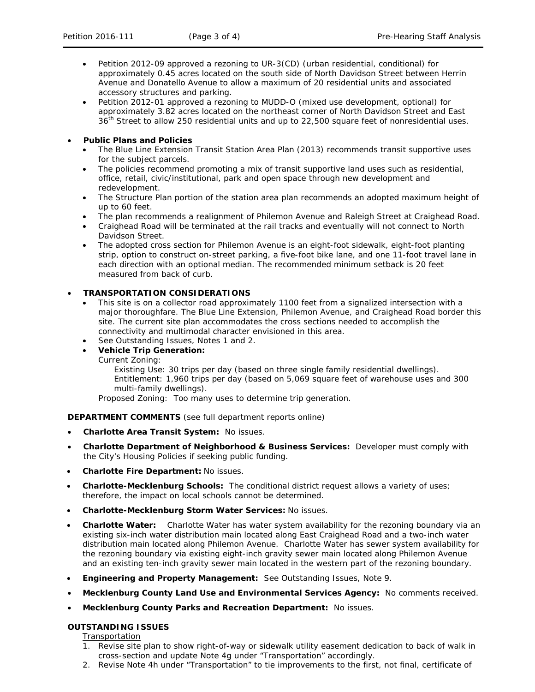- Petition 2012-09 approved a rezoning to UR-3(CD) (urban residential, conditional) for approximately 0.45 acres located on the south side of North Davidson Street between Herrin Avenue and Donatello Avenue to allow a maximum of 20 residential units and associated accessory structures and parking.
- Petition 2012-01 approved a rezoning to MUDD-O (mixed use development, optional) for approximately 3.82 acres located on the northeast corner of North Davidson Street and East 36<sup>th</sup> Street to allow 250 residential units and up to 22,500 square feet of nonresidential uses.

## • **Public Plans and Policies**

- The *Blue Line Extension Transit Station Area Plan* (2013) recommends transit supportive uses for the subject parcels.
- The policies recommend promoting a mix of transit supportive land uses such as residential, office, retail, civic/institutional, park and open space through new development and redevelopment.
- The Structure Plan portion of the station area plan recommends an adopted maximum height of up to 60 feet.
- The plan recommends a realignment of Philemon Avenue and Raleigh Street at Craighead Road.
- Craighead Road will be terminated at the rail tracks and eventually will not connect to North Davidson Street.
- The adopted cross section for Philemon Avenue is an eight-foot sidewalk, eight-foot planting strip, option to construct on-street parking, a five-foot bike lane, and one 11-foot travel lane in each direction with an optional median. The recommended minimum setback is 20 feet measured from back of curb.

## • **TRANSPORTATION CONSIDERATIONS**

- This site is on a collector road approximately 1100 feet from a signalized intersection with a major thoroughfare. The Blue Line Extension, Philemon Avenue, and Craighead Road border this site. The current site plan accommodates the cross sections needed to accomplish the connectivity and multimodal character envisioned in this area.
- See Outstanding Issues, Notes 1 and 2.

# • **Vehicle Trip Generation:**

Current Zoning:

Existing Use: 30 trips per day (based on three single family residential dwellings). Entitlement: 1,960 trips per day (based on 5,069 square feet of warehouse uses and 300 multi-family dwellings).

Proposed Zoning: Too many uses to determine trip generation.

**DEPARTMENT COMMENTS** (see full department reports online)

- **Charlotte Area Transit System:** No issues.
- **Charlotte Department of Neighborhood & Business Services:** Developer must comply with the City's Housing Policies if seeking public funding.
- **Charlotte Fire Department:** No issues.
- **Charlotte-Mecklenburg Schools:** The conditional district request allows a variety of uses; therefore, the impact on local schools cannot be determined.
- **Charlotte-Mecklenburg Storm Water Services:** No issues.
- **Charlotte Water:** Charlotte Water has water system availability for the rezoning boundary via an existing six-inch water distribution main located along East Craighead Road and a two-inch water distribution main located along Philemon Avenue. Charlotte Water has sewer system availability for the rezoning boundary via existing eight-inch gravity sewer main located along Philemon Avenue and an existing ten-inch gravity sewer main located in the western part of the rezoning boundary.
- **Engineering and Property Management:** See Outstanding Issues, Note 9.
- **Mecklenburg County Land Use and Environmental Services Agency:** No comments received.
- **Mecklenburg County Parks and Recreation Department:** No issues.

# **OUTSTANDING ISSUES**

Transportation

- 1. Revise site plan to show right-of-way or sidewalk utility easement dedication to back of walk in cross-section and update Note 4g under "Transportation" accordingly.
- 2. Revise Note 4h under "Transportation" to tie improvements to the first, not final, certificate of